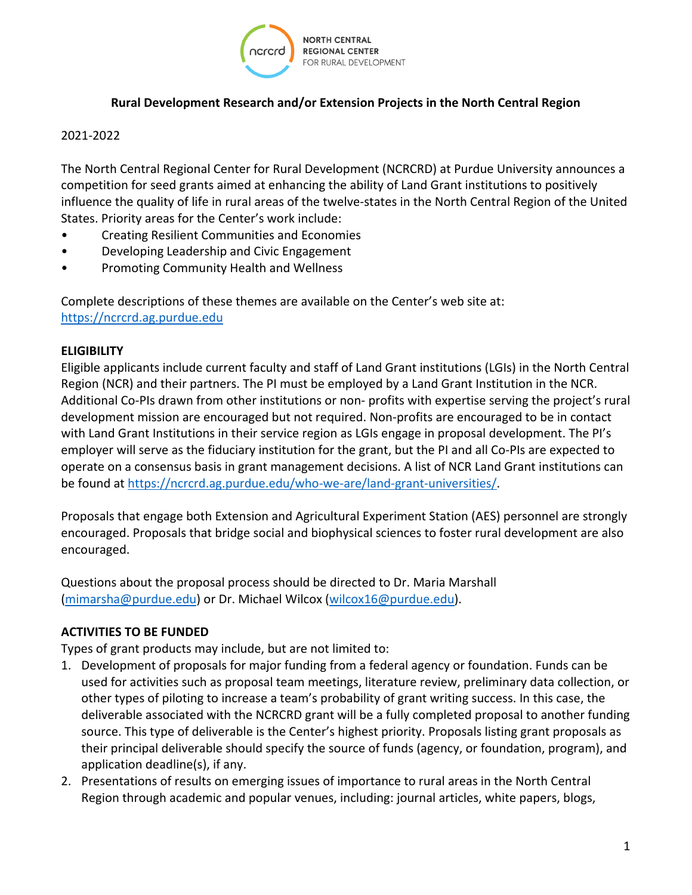

### **Rural Development Research and/or Extension Projects in the North Central Region**

#### 2021-2022

The North Central Regional Center for Rural Development (NCRCRD) at Purdue University announces a competition for seed grants aimed at enhancing the ability of Land Grant institutions to positively influence the quality of life in rural areas of the twelve-states in the North Central Region of the United States. Priority areas for the Center's work include:

- Creating Resilient Communities and Economies
- Developing Leadership and Civic Engagement
- Promoting Community Health and Wellness

Complete descriptions of these themes are available on the Center's web site at: [https://ncrcrd.ag.purdue.edu](https://ncrcrd.ag.purdue.edu/)

#### **ELIGIBILITY**

Eligible applicants include current faculty and staff of Land Grant institutions (LGIs) in the North Central Region (NCR) and their partners. The PI must be employed by a Land Grant Institution in the NCR. Additional Co-PIs drawn from other institutions or non- profits with expertise serving the project's rural development mission are encouraged but not required. Non-profits are encouraged to be in contact with Land Grant Institutions in their service region as LGIs engage in proposal development. The PI's employer will serve as the fiduciary institution for the grant, but the PI and all Co-PIs are expected to operate on a consensus basis in grant management decisions. A list of NCR Land Grant institutions can be found at [https://ncrcrd.ag.purdue.edu/who-we-are/land-grant-universities/.](https://ncrcrd.ag.purdue.edu/who-we-are/land-grant-universities/)

Proposals that engage both Extension and Agricultural Experiment Station (AES) personnel are strongly encouraged. Proposals that bridge social and biophysical sciences to foster rural development are also encouraged.

Questions about the proposal process should be directed to Dr. Maria Marshall [\(mimarsha@purdue.edu\)](mailto:mimarsha@purdue.edu) or Dr. Michael Wilcox [\(wilcox16@purdue.edu\)](mailto:wilcox16@purdue.edu).

### **ACTIVITIES TO BE FUNDED**

Types of grant products may include, but are not limited to:

- 1. Development of proposals for major funding from a federal agency or foundation. Funds can be used for activities such as proposal team meetings, literature review, preliminary data collection, or other types of piloting to increase a team's probability of grant writing success. In this case, the deliverable associated with the NCRCRD grant will be a fully completed proposal to another funding source. This type of deliverable is the Center's highest priority. Proposals listing grant proposals as their principal deliverable should specify the source of funds (agency, or foundation, program), and application deadline(s), if any.
- 2. Presentations of results on emerging issues of importance to rural areas in the North Central Region through academic and popular venues, including: journal articles, white papers, blogs,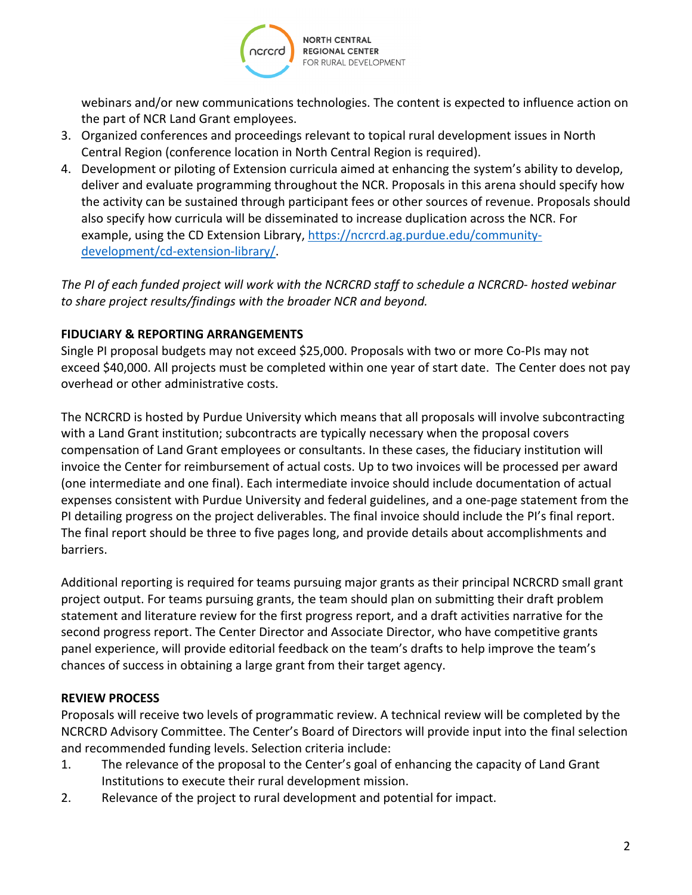**NORTH CENTRAL REGIONAL CENTER** FOR RURAL DEVELOPMENT

webinars and/or new communications technologies. The content is expected to influence action on the part of NCR Land Grant employees.

- 3. Organized conferences and proceedings relevant to topical rural development issues in North Central Region (conference location in North Central Region is required).
- 4. Development or piloting of Extension curricula aimed at enhancing the system's ability to develop, deliver and evaluate programming throughout the NCR. Proposals in this arena should specify how the activity can be sustained through participant fees or other sources of revenue. Proposals should also specify how curricula will be disseminated to increase duplication across the NCR. For example, using the CD Extension Library, [https://ncrcrd.ag.purdue.edu/community](https://ncrcrd.ag.purdue.edu/community-development/cd-extension-library/)[development/cd-extension-library/.](https://ncrcrd.ag.purdue.edu/community-development/cd-extension-library/)

*The PI of each funded project will work with the NCRCRD staff to schedule a NCRCRD- hosted webinar to share project results/findings with the broader NCR and beyond.*

# **FIDUCIARY & REPORTING ARRANGEMENTS**

Single PI proposal budgets may not exceed \$25,000. Proposals with two or more Co-PIs may not exceed \$40,000. All projects must be completed within one year of start date. The Center does not pay overhead or other administrative costs.

The NCRCRD is hosted by Purdue University which means that all proposals will involve subcontracting with a Land Grant institution; subcontracts are typically necessary when the proposal covers compensation of Land Grant employees or consultants. In these cases, the fiduciary institution will invoice the Center for reimbursement of actual costs. Up to two invoices will be processed per award (one intermediate and one final). Each intermediate invoice should include documentation of actual expenses consistent with Purdue University and federal guidelines, and a one-page statement from the PI detailing progress on the project deliverables. The final invoice should include the PI's final report. The final report should be three to five pages long, and provide details about accomplishments and barriers.

Additional reporting is required for teams pursuing major grants as their principal NCRCRD small grant project output. For teams pursuing grants, the team should plan on submitting their draft problem statement and literature review for the first progress report, and a draft activities narrative for the second progress report. The Center Director and Associate Director, who have competitive grants panel experience, will provide editorial feedback on the team's drafts to help improve the team's chances of success in obtaining a large grant from their target agency.

## **REVIEW PROCESS**

Proposals will receive two levels of programmatic review. A technical review will be completed by the NCRCRD Advisory Committee. The Center's Board of Directors will provide input into the final selection and recommended funding levels. Selection criteria include:

- 1. The relevance of the proposal to the Center's goal of enhancing the capacity of Land Grant Institutions to execute their rural development mission.
- 2. Relevance of the project to rural development and potential for impact.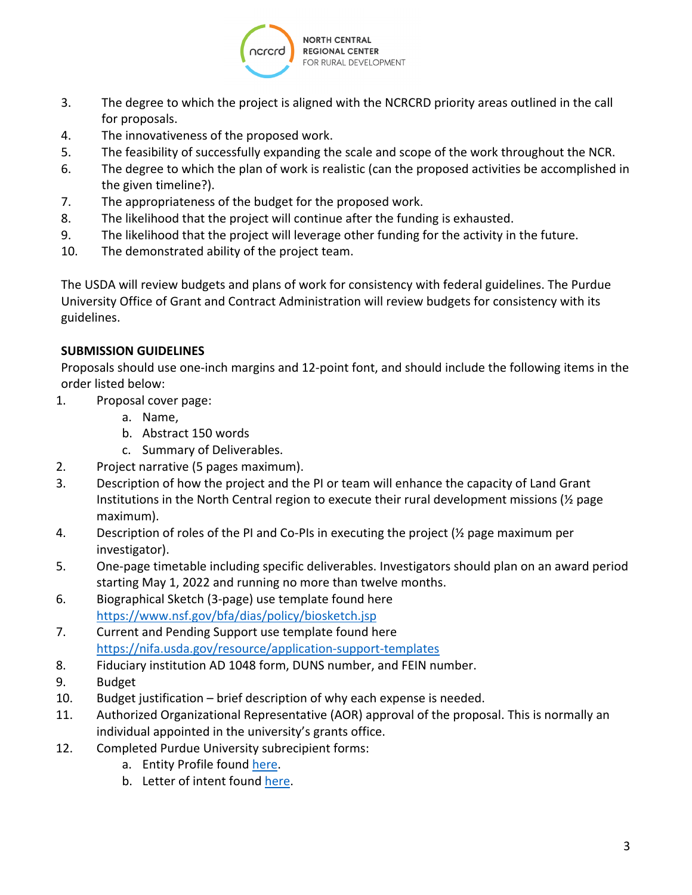

- 3. The degree to which the project is aligned with the NCRCRD priority areas outlined in the call for proposals.
- 4. The innovativeness of the proposed work.
- 5. The feasibility of successfully expanding the scale and scope of the work throughout the NCR.
- 6. The degree to which the plan of work is realistic (can the proposed activities be accomplished in the given timeline?).
- 7. The appropriateness of the budget for the proposed work.
- 8. The likelihood that the project will continue after the funding is exhausted.
- 9. The likelihood that the project will leverage other funding for the activity in the future.
- 10. The demonstrated ability of the project team.

The USDA will review budgets and plans of work for consistency with federal guidelines. The Purdue University Office of Grant and Contract Administration will review budgets for consistency with its guidelines.

# **SUBMISSION GUIDELINES**

Proposals should use one-inch margins and 12-point font, and should include the following items in the order listed below:

- 1. Proposal cover page:
	- a. Name,
	- b. Abstract 150 words
	- c. Summary of Deliverables.
- 2. Project narrative (5 pages maximum).
- 3. Description of how the project and the PI or team will enhance the capacity of Land Grant Institutions in the North Central region to execute their rural development missions ( $\frac{1}{2}$  page maximum).
- 4. Description of roles of the PI and Co-PIs in executing the project  $(\frac{1}{2})$  page maximum per investigator).
- 5. One-page timetable including specific deliverables. Investigators should plan on an award period starting May 1, 2022 and running no more than twelve months.
- 6. Biographical Sketch (3-page) use template found here <https://www.nsf.gov/bfa/dias/policy/biosketch.jsp>
- 7. Current and Pending Support use template found here <https://nifa.usda.gov/resource/application-support-templates>
- 8. Fiduciary institution AD 1048 form, DUNS number, and FEIN number.
- 9. Budget
- 10. Budget justification brief description of why each expense is needed.
- 11. Authorized Organizational Representative (AOR) approval of the proposal. This is normally an individual appointed in the university's grants office.
- 12. Completed Purdue University subrecipient forms:
	- a. Entity Profile found [here.](https://www.purdue.edu/business/sps/pdf/Entity_Profile.pdf)
	- b. Letter of intent found [here.](https://www.purdue.edu/business/sps/pdf/Letter_of_Intent%20template_9.2017.pdf)